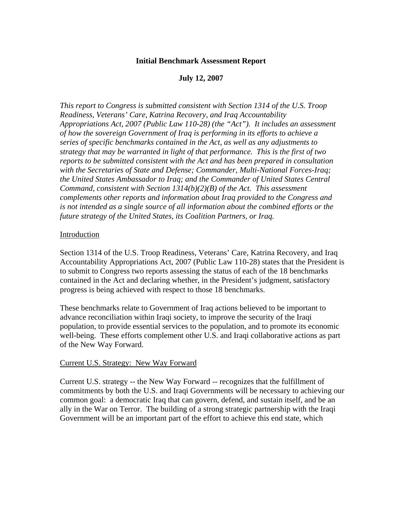### **Initial Benchmark Assessment Report**

### **July 12, 2007**

*This report to Congress is submitted consistent with Section 1314 of the U.S. Troop Readiness, Veterans' Care, Katrina Recovery, and Iraq Accountability Appropriations Act, 2007 (Public Law 110-28) (the "Act"). It includes an assessment of how the sovereign Government of Iraq is performing in its efforts to achieve a series of specific benchmarks contained in the Act, as well as any adjustments to strategy that may be warranted in light of that performance. This is the first of two reports to be submitted consistent with the Act and has been prepared in consultation with the Secretaries of State and Defense; Commander, Multi-National Forces-Iraq; the United States Ambassador to Iraq; and the Commander of United States Central Command, consistent with Section 1314(b)(2)(B) of the Act. This assessment complements other reports and information about Iraq provided to the Congress and is not intended as a single source of all information about the combined efforts or the future strategy of the United States, its Coalition Partners, or Iraq.* 

#### **Introduction**

Section 1314 of the U.S. Troop Readiness, Veterans' Care, Katrina Recovery, and Iraq Accountability Appropriations Act, 2007 (Public Law 110-28) states that the President is to submit to Congress two reports assessing the status of each of the 18 benchmarks contained in the Act and declaring whether, in the President's judgment, satisfactory progress is being achieved with respect to those 18 benchmarks.

These benchmarks relate to Government of Iraq actions believed to be important to advance reconciliation within Iraqi society, to improve the security of the Iraqi population, to provide essential services to the population, and to promote its economic well-being. These efforts complement other U.S. and Iraqi collaborative actions as part of the New Way Forward.

#### Current U.S. Strategy: New Way Forward

Current U.S. strategy -- the New Way Forward -- recognizes that the fulfillment of commitments by both the U.S. and Iraqi Governments will be necessary to achieving our common goal: a democratic Iraq that can govern, defend, and sustain itself, and be an ally in the War on Terror. The building of a strong strategic partnership with the Iraqi Government will be an important part of the effort to achieve this end state, which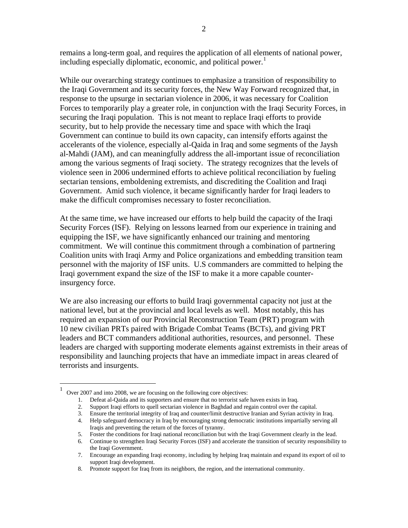remains a long-term goal, and requires the application of all elements of national power, including especially diplomatic, economic, and political power.<sup>[1](#page-1-0)</sup>

While our overarching strategy continues to emphasize a transition of responsibility to the Iraqi Government and its security forces, the New Way Forward recognized that, in response to the upsurge in sectarian violence in 2006, it was necessary for Coalition Forces to temporarily play a greater role, in conjunction with the Iraqi Security Forces, in securing the Iraqi population. This is not meant to replace Iraqi efforts to provide security, but to help provide the necessary time and space with which the Iraqi Government can continue to build its own capacity, can intensify efforts against the accelerants of the violence, especially al-Qaida in Iraq and some segments of the Jaysh al-Mahdi (JAM), and can meaningfully address the all-important issue of reconciliation among the various segments of Iraqi society. The strategy recognizes that the levels of violence seen in 2006 undermined efforts to achieve political reconciliation by fueling sectarian tensions, emboldening extremists, and discrediting the Coalition and Iraqi Government. Amid such violence, it became significantly harder for Iraqi leaders to make the difficult compromises necessary to foster reconciliation.

At the same time, we have increased our efforts to help build the capacity of the Iraqi Security Forces (ISF). Relying on lessons learned from our experience in training and equipping the ISF, we have significantly enhanced our training and mentoring commitment. We will continue this commitment through a combination of partnering Coalition units with Iraqi Army and Police organizations and embedding transition team personnel with the majority of ISF units. U.S commanders are committed to helping the Iraqi government expand the size of the ISF to make it a more capable counterinsurgency force.

We are also increasing our efforts to build Iraqi governmental capacity not just at the national level, but at the provincial and local levels as well. Most notably, this has required an expansion of our Provincial Reconstruction Team (PRT) program with 10 new civilian PRTs paired with Brigade Combat Teams (BCTs), and giving PRT leaders and BCT commanders additional authorities, resources, and personnel. These leaders are charged with supporting moderate elements against extremists in their areas of responsibility and launching projects that have an immediate impact in areas cleared of terrorists and insurgents.

 $\overline{a}$ 

<span id="page-1-0"></span><sup>1</sup> Over 2007 and into 2008, we are focusing on the following core objectives:

<sup>1.</sup> Defeat al-Qaida and its supporters and ensure that no terrorist safe haven exists in Iraq.

<sup>2.</sup> Support Iraqi efforts to quell sectarian violence in Baghdad and regain control over the capital.

<sup>3.</sup> Ensure the territorial integrity of Iraq and counter/limit destructive Iranian and Syrian activity in Iraq.

<sup>4.</sup> Help safeguard democracy in Iraq by encouraging strong democratic institutions impartially serving all Iraqis and preventing the return of the forces of tyranny.

<sup>5.</sup> Foster the conditions for Iraqi national reconciliation but with the Iraqi Government clearly in the lead.

<sup>6.</sup> Continue to strengthen Iraqi Security Forces (ISF) and accelerate the transition of security responsibility to the Iraqi Government.

<sup>7.</sup> Encourage an expanding Iraqi economy, including by helping Iraq maintain and expand its export of oil to support Iraqi development.

<sup>8.</sup> Promote support for Iraq from its neighbors, the region, and the international community.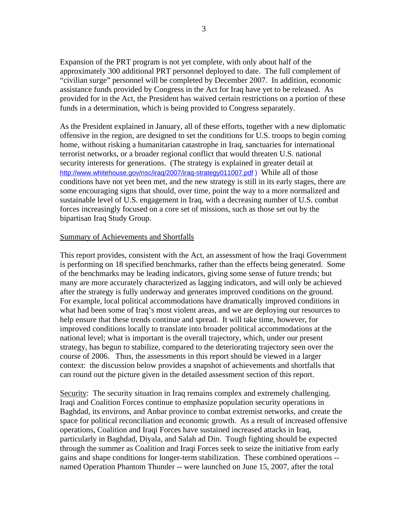Expansion of the PRT program is not yet complete, with only about half of the approximately 300 additional PRT personnel deployed to date. The full complement of "civilian surge" personnel will be completed by December 2007. In addition, economic assistance funds provided by Congress in the Act for Iraq have yet to be released. As provided for in the Act, the President has waived certain restrictions on a portion of these funds in a determination, which is being provided to Congress separately.

As the President explained in January, all of these efforts, together with a new diplomatic offensive in the region, are designed to set the conditions for U.S. troops to begin coming home, without risking a humanitarian catastrophe in Iraq, sanctuaries for international terrorist networks, or a broader regional conflict that would threaten U.S. national security interests for generations. (The strategy is explained in greater detail at <http://www.whitehouse.gov/nsc/iraq/2007/iraq-strategy011007.pdf> ) While all of those conditions have not yet been met, and the new strategy is still in its early stages, there are some encouraging signs that should, over time, point the way to a more normalized and sustainable level of U.S. engagement in Iraq, with a decreasing number of U.S. combat forces increasingly focused on a core set of missions, such as those set out by the bipartisan Iraq Study Group.

#### Summary of Achievements and Shortfalls

This report provides, consistent with the Act, an assessment of how the Iraqi Government is performing on 18 specified benchmarks, rather than the effects being generated. Some of the benchmarks may be leading indicators, giving some sense of future trends; but many are more accurately characterized as lagging indicators, and will only be achieved after the strategy is fully underway and generates improved conditions on the ground. For example, local political accommodations have dramatically improved conditions in what had been some of Iraq's most violent areas, and we are deploying our resources to help ensure that these trends continue and spread. It will take time, however, for improved conditions locally to translate into broader political accommodations at the national level; what is important is the overall trajectory, which, under our present strategy, has begun to stabilize, compared to the deteriorating trajectory seen over the course of 2006. Thus, the assessments in this report should be viewed in a larger context: the discussion below provides a snapshot of achievements and shortfalls that can round out the picture given in the detailed assessment section of this report.

Security: The security situation in Iraq remains complex and extremely challenging. Iraqi and Coalition Forces continue to emphasize population security operations in Baghdad, its environs, and Anbar province to combat extremist networks, and create the space for political reconciliation and economic growth. As a result of increased offensive operations, Coalition and Iraqi Forces have sustained increased attacks in Iraq, particularly in Baghdad, Diyala, and Salah ad Din. Tough fighting should be expected through the summer as Coalition and Iraqi Forces seek to seize the initiative from early gains and shape conditions for longer-term stabilization. These combined operations - named Operation Phantom Thunder -- were launched on June 15, 2007, after the total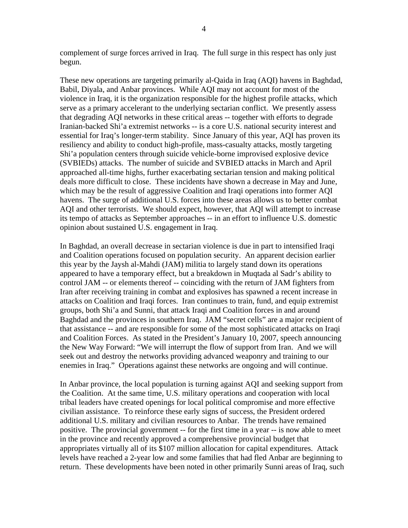complement of surge forces arrived in Iraq. The full surge in this respect has only just begun.

These new operations are targeting primarily al-Qaida in Iraq (AQI) havens in Baghdad, Babil, Diyala, and Anbar provinces. While AQI may not account for most of the violence in Iraq, it is the organization responsible for the highest profile attacks, which serve as a primary accelerant to the underlying sectarian conflict. We presently assess that degrading AQI networks in these critical areas -- together with efforts to degrade Iranian-backed Shi'a extremist networks -- is a core U.S. national security interest and essential for Iraq's longer-term stability. Since January of this year, AQI has proven its resiliency and ability to conduct high-profile, mass-casualty attacks, mostly targeting Shi'a population centers through suicide vehicle-borne improvised explosive device (SVBIEDs) attacks. The number of suicide and SVBIED attacks in March and April approached all-time highs, further exacerbating sectarian tension and making political deals more difficult to close. These incidents have shown a decrease in May and June, which may be the result of aggressive Coalition and Iraqi operations into former AQI havens. The surge of additional U.S. forces into these areas allows us to better combat AQI and other terrorists. We should expect, however, that AQI will attempt to increase its tempo of attacks as September approaches -- in an effort to influence U.S. domestic opinion about sustained U.S. engagement in Iraq.

In Baghdad, an overall decrease in sectarian violence is due in part to intensified Iraqi and Coalition operations focused on population security. An apparent decision earlier this year by the Jaysh al-Mahdi (JAM) militia to largely stand down its operations appeared to have a temporary effect, but a breakdown in Muqtada al Sadr's ability to control JAM -- or elements thereof -- coinciding with the return of JAM fighters from Iran after receiving training in combat and explosives has spawned a recent increase in attacks on Coalition and Iraqi forces. Iran continues to train, fund, and equip extremist groups, both Shi'a and Sunni, that attack Iraqi and Coalition forces in and around Baghdad and the provinces in southern Iraq. JAM "secret cells" are a major recipient of that assistance -- and are responsible for some of the most sophisticated attacks on Iraqi and Coalition Forces. As stated in the President's January 10, 2007, speech announcing the New Way Forward: "We will interrupt the flow of support from Iran. And we will seek out and destroy the networks providing advanced weaponry and training to our enemies in Iraq." Operations against these networks are ongoing and will continue.

In Anbar province, the local population is turning against AQI and seeking support from the Coalition. At the same time, U.S. military operations and cooperation with local tribal leaders have created openings for local political compromise and more effective civilian assistance. To reinforce these early signs of success, the President ordered additional U.S. military and civilian resources to Anbar. The trends have remained positive. The provincial government -- for the first time in a year -- is now able to meet in the province and recently approved a comprehensive provincial budget that appropriates virtually all of its \$107 million allocation for capital expenditures. Attack levels have reached a 2-year low and some families that had fled Anbar are beginning to return. These developments have been noted in other primarily Sunni areas of Iraq, such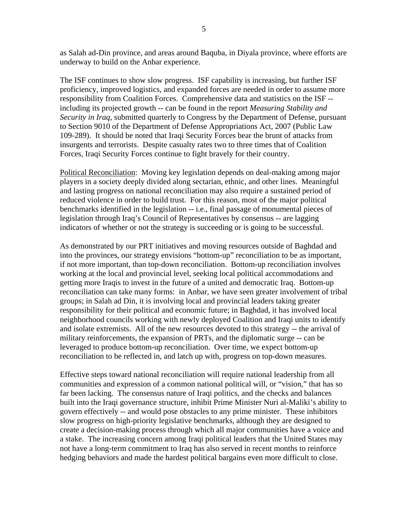as Salah ad-Din province, and areas around Baquba, in Diyala province, where efforts are underway to build on the Anbar experience.

The ISF continues to show slow progress. ISF capability is increasing, but further ISF proficiency, improved logistics, and expanded forces are needed in order to assume more responsibility from Coalition Forces. Comprehensive data and statistics on the ISF - including its projected growth -- can be found in the report *Measuring Stability and Security in Iraq*, submitted quarterly to Congress by the Department of Defense, pursuant to Section 9010 of the Department of Defense Appropriations Act, 2007 (Public Law 109-289). It should be noted that Iraqi Security Forces bear the brunt of attacks from insurgents and terrorists. Despite casualty rates two to three times that of Coalition Forces, Iraqi Security Forces continue to fight bravely for their country.

Political Reconciliation: Moving key legislation depends on deal-making among major players in a society deeply divided along sectarian, ethnic, and other lines. Meaningful and lasting progress on national reconciliation may also require a sustained period of reduced violence in order to build trust. For this reason, most of the major political benchmarks identified in the legislation -- i.e., final passage of monumental pieces of legislation through Iraq's Council of Representatives by consensus -- are lagging indicators of whether or not the strategy is succeeding or is going to be successful.

As demonstrated by our PRT initiatives and moving resources outside of Baghdad and into the provinces, our strategy envisions "bottom-up" reconciliation to be as important, if not more important, than top-down reconciliation. Bottom-up reconciliation involves working at the local and provincial level, seeking local political accommodations and getting more Iraqis to invest in the future of a united and democratic Iraq. Bottom-up reconciliation can take many forms: in Anbar, we have seen greater involvement of tribal groups; in Salah ad Din, it is involving local and provincial leaders taking greater responsibility for their political and economic future; in Baghdad, it has involved local neighborhood councils working with newly deployed Coalition and Iraqi units to identify and isolate extremists. All of the new resources devoted to this strategy -- the arrival of military reinforcements, the expansion of PRTs, and the diplomatic surge -- can be leveraged to produce bottom-up reconciliation. Over time, we expect bottom-up reconciliation to be reflected in, and latch up with, progress on top-down measures.

Effective steps toward national reconciliation will require national leadership from all communities and expression of a common national political will, or "vision," that has so far been lacking. The consensus nature of Iraqi politics, and the checks and balances built into the Iraqi governance structure, inhibit Prime Minister Nuri al-Maliki's ability to govern effectively -- and would pose obstacles to any prime minister. These inhibitors slow progress on high-priority legislative benchmarks, although they are designed to create a decision-making process through which all major communities have a voice and a stake. The increasing concern among Iraqi political leaders that the United States may not have a long-term commitment to Iraq has also served in recent months to reinforce hedging behaviors and made the hardest political bargains even more difficult to close.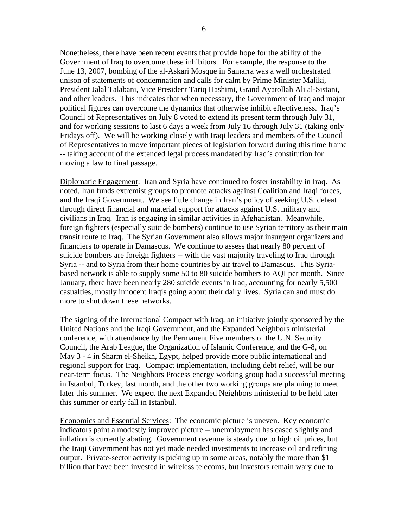Nonetheless, there have been recent events that provide hope for the ability of the Government of Iraq to overcome these inhibitors. For example, the response to the June 13, 2007, bombing of the al-Askari Mosque in Samarra was a well orchestrated unison of statements of condemnation and calls for calm by Prime Minister Maliki, President Jalal Talabani, Vice President Tariq Hashimi, Grand Ayatollah Ali al-Sistani, and other leaders. This indicates that when necessary, the Government of Iraq and major political figures can overcome the dynamics that otherwise inhibit effectiveness. Iraq's Council of Representatives on July 8 voted to extend its present term through July 31, and for working sessions to last 6 days a week from July 16 through July 31 (taking only Fridays off). We will be working closely with Iraqi leaders and members of the Council of Representatives to move important pieces of legislation forward during this time frame -- taking account of the extended legal process mandated by Iraq's constitution for moving a law to final passage.

Diplomatic Engagement: Iran and Syria have continued to foster instability in Iraq. As noted, Iran funds extremist groups to promote attacks against Coalition and Iraqi forces, and the Iraqi Government. We see little change in Iran's policy of seeking U.S. defeat through direct financial and material support for attacks against U.S. military and civilians in Iraq. Iran is engaging in similar activities in Afghanistan. Meanwhile, foreign fighters (especially suicide bombers) continue to use Syrian territory as their main transit route to Iraq. The Syrian Government also allows major insurgent organizers and financiers to operate in Damascus. We continue to assess that nearly 80 percent of suicide bombers are foreign fighters -- with the vast majority traveling to Iraq through Syria -- and to Syria from their home countries by air travel to Damascus. This Syriabased network is able to supply some 50 to 80 suicide bombers to AQI per month. Since January, there have been nearly 280 suicide events in Iraq, accounting for nearly 5,500 casualties, mostly innocent Iraqis going about their daily lives. Syria can and must do more to shut down these networks.

The signing of the International Compact with Iraq, an initiative jointly sponsored by the United Nations and the Iraqi Government, and the Expanded Neighbors ministerial conference, with attendance by the Permanent Five members of the U.N. Security Council, the Arab League, the Organization of Islamic Conference, and the G-8, on May 3 - 4 in Sharm el-Sheikh, Egypt, helped provide more public international and regional support for Iraq. Compact implementation, including debt relief, will be our near-term focus. The Neighbors Process energy working group had a successful meeting in Istanbul, Turkey, last month, and the other two working groups are planning to meet later this summer. We expect the next Expanded Neighbors ministerial to be held later this summer or early fall in Istanbul.

Economics and Essential Services: The economic picture is uneven. Key economic indicators paint a modestly improved picture -- unemployment has eased slightly and inflation is currently abating. Government revenue is steady due to high oil prices, but the Iraqi Government has not yet made needed investments to increase oil and refining output. Private-sector activity is picking up in some areas, notably the more than \$1 billion that have been invested in wireless telecoms, but investors remain wary due to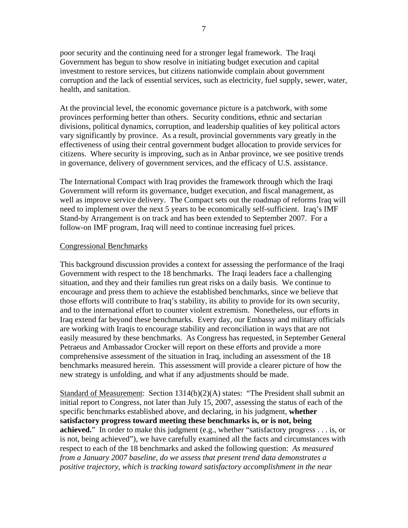poor security and the continuing need for a stronger legal framework. The Iraqi Government has begun to show resolve in initiating budget execution and capital investment to restore services, but citizens nationwide complain about government corruption and the lack of essential services, such as electricity, fuel supply, sewer, water, health, and sanitation.

At the provincial level, the economic governance picture is a patchwork, with some provinces performing better than others. Security conditions, ethnic and sectarian divisions, political dynamics, corruption, and leadership qualities of key political actors vary significantly by province. As a result, provincial governments vary greatly in the effectiveness of using their central government budget allocation to provide services for citizens. Where security is improving, such as in Anbar province, we see positive trends in governance, delivery of government services, and the efficacy of U.S. assistance.

The International Compact with Iraq provides the framework through which the Iraqi Government will reform its governance, budget execution, and fiscal management, as well as improve service delivery. The Compact sets out the roadmap of reforms Iraq will need to implement over the next 5 years to be economically self-sufficient. Iraq's IMF Stand-by Arrangement is on track and has been extended to September 2007. For a follow-on IMF program, Iraq will need to continue increasing fuel prices.

#### Congressional Benchmarks

This background discussion provides a context for assessing the performance of the Iraqi Government with respect to the 18 benchmarks. The Iraqi leaders face a challenging situation, and they and their families run great risks on a daily basis. We continue to encourage and press them to achieve the established benchmarks, since we believe that those efforts will contribute to Iraq's stability, its ability to provide for its own security, and to the international effort to counter violent extremism. Nonetheless, our efforts in Iraq extend far beyond these benchmarks. Every day, our Embassy and military officials are working with Iraqis to encourage stability and reconciliation in ways that are not easily measured by these benchmarks. As Congress has requested, in September General Petraeus and Ambassador Crocker will report on these efforts and provide a more comprehensive assessment of the situation in Iraq, including an assessment of the 18 benchmarks measured herein. This assessment will provide a clearer picture of how the new strategy is unfolding, and what if any adjustments should be made.

Standard of Measurement: Section 1314(b)(2)(A) states: "The President shall submit an initial report to Congress, not later than July 15, 2007, assessing the status of each of the specific benchmarks established above, and declaring, in his judgment, **whether satisfactory progress toward meeting these benchmarks is, or is not, being achieved.**" In order to make this judgment (e.g., whether "satisfactory progress . . . is, or is not, being achieved"), we have carefully examined all the facts and circumstances with respect to each of the 18 benchmarks and asked the following question: *As measured from a January 2007 baseline, do we assess that present trend data demonstrates a positive trajectory, which is tracking toward satisfactory accomplishment in the near*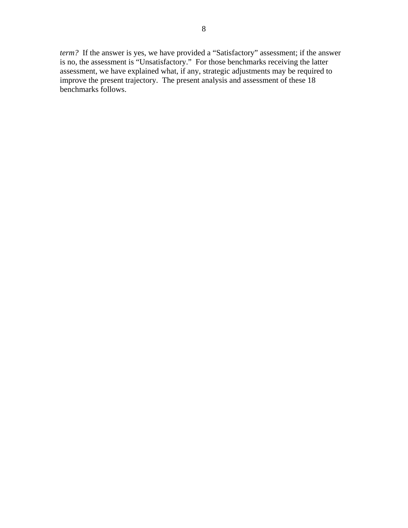*term?* If the answer is yes, we have provided a "Satisfactory" assessment; if the answer is no, the assessment is "Unsatisfactory." For those benchmarks receiving the latter assessment, we have explained what, if any, strategic adjustments may be required to improve the present trajectory. The present analysis and assessment of these 18 benchmarks follows.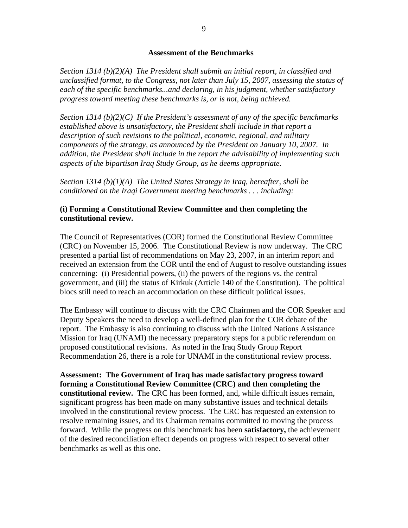### **Assessment of the Benchmarks**

*Section 1314 (b)(2)(A) The President shall submit an initial report, in classified and unclassified format, to the Congress, not later than July 15, 2007, assessing the status of each of the specific benchmarks...and declaring, in his judgment, whether satisfactory progress toward meeting these benchmarks is, or is not, being achieved.* 

*Section 1314 (b)(2)(C) If the President's assessment of any of the specific benchmarks established above is unsatisfactory, the President shall include in that report a description of such revisions to the political, economic, regional, and military components of the strategy, as announced by the President on January 10, 2007. In addition, the President shall include in the report the advisability of implementing such aspects of the bipartisan Iraq Study Group, as he deems appropriate.* 

*Section 1314 (b)(1)(A) The United States Strategy in Iraq, hereafter, shall be conditioned on the Iraqi Government meeting benchmarks . . . including:*

### **(i) Forming a Constitutional Review Committee and then completing the constitutional review.**

The Council of Representatives (COR) formed the Constitutional Review Committee (CRC) on November 15, 2006. The Constitutional Review is now underway. The CRC presented a partial list of recommendations on May 23, 2007, in an interim report and received an extension from the COR until the end of August to resolve outstanding issues concerning: (i) Presidential powers, (ii) the powers of the regions vs. the central government, and (iii) the status of Kirkuk (Article 140 of the Constitution). The political blocs still need to reach an accommodation on these difficult political issues.

The Embassy will continue to discuss with the CRC Chairmen and the COR Speaker and Deputy Speakers the need to develop a well-defined plan for the COR debate of the report. The Embassy is also continuing to discuss with the United Nations Assistance Mission for Iraq (UNAMI) the necessary preparatory steps for a public referendum on proposed constitutional revisions. As noted in the Iraq Study Group Report Recommendation 26, there is a role for UNAMI in the constitutional review process.

**Assessment: The Government of Iraq has made satisfactory progress toward forming a Constitutional Review Committee (CRC) and then completing the constitutional review.** The CRC has been formed, and, while difficult issues remain, significant progress has been made on many substantive issues and technical details involved in the constitutional review process. The CRC has requested an extension to resolve remaining issues, and its Chairman remains committed to moving the process forward. While the progress on this benchmark has been **satisfactory,** the achievement of the desired reconciliation effect depends on progress with respect to several other benchmarks as well as this one.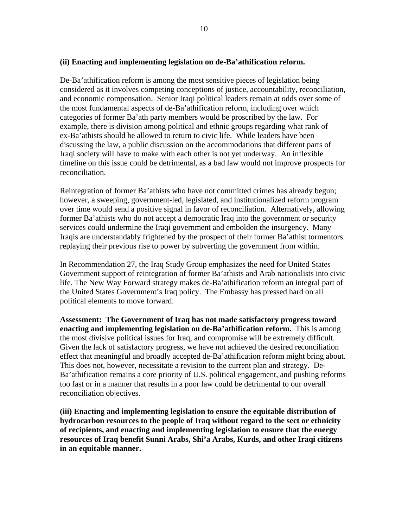### **(ii) Enacting and implementing legislation on de-Ba'athification reform.**

De-Ba'athification reform is among the most sensitive pieces of legislation being considered as it involves competing conceptions of justice, accountability, reconciliation, and economic compensation. Senior Iraqi political leaders remain at odds over some of the most fundamental aspects of de-Ba'athification reform, including over which categories of former Ba'ath party members would be proscribed by the law. For example, there is division among political and ethnic groups regarding what rank of ex-Ba'athists should be allowed to return to civic life. While leaders have been discussing the law, a public discussion on the accommodations that different parts of Iraqi society will have to make with each other is not yet underway. An inflexible timeline on this issue could be detrimental, as a bad law would not improve prospects for reconciliation.

Reintegration of former Ba'athists who have not committed crimes has already begun; however, a sweeping, government-led, legislated, and institutionalized reform program over time would send a positive signal in favor of reconciliation. Alternatively, allowing former Ba'athists who do not accept a democratic Iraq into the government or security services could undermine the Iraqi government and embolden the insurgency. Many Iraqis are understandably frightened by the prospect of their former Ba'athist tormentors replaying their previous rise to power by subverting the government from within.

In Recommendation 27, the Iraq Study Group emphasizes the need for United States Government support of reintegration of former Ba'athists and Arab nationalists into civic life. The New Way Forward strategy makes de-Ba'athification reform an integral part of the United States Government's Iraq policy. The Embassy has pressed hard on all political elements to move forward.

**Assessment: The Government of Iraq has not made satisfactory progress toward enacting and implementing legislation on de-Ba'athification reform.** This is among the most divisive political issues for Iraq, and compromise will be extremely difficult. Given the lack of satisfactory progress, we have not achieved the desired reconciliation effect that meaningful and broadly accepted de-Ba'athification reform might bring about. This does not, however, necessitate a revision to the current plan and strategy. De-Ba'athification remains a core priority of U.S. political engagement, and pushing reforms too fast or in a manner that results in a poor law could be detrimental to our overall reconciliation objectives.

**(iii) Enacting and implementing legislation to ensure the equitable distribution of hydrocarbon resources to the people of Iraq without regard to the sect or ethnicity of recipients, and enacting and implementing legislation to ensure that the energy resources of Iraq benefit Sunni Arabs, Shi'a Arabs, Kurds, and other Iraqi citizens in an equitable manner.**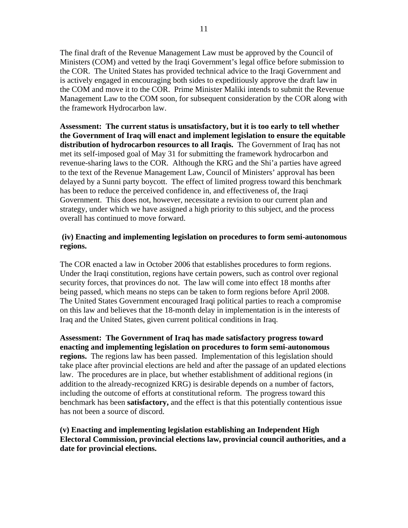The final draft of the Revenue Management Law must be approved by the Council of Ministers (COM) and vetted by the Iraqi Government's legal office before submission to the COR. The United States has provided technical advice to the Iraqi Government and is actively engaged in encouraging both sides to expeditiously approve the draft law in the COM and move it to the COR. Prime Minister Maliki intends to submit the Revenue Management Law to the COM soon, for subsequent consideration by the COR along with the framework Hydrocarbon law.

**Assessment: The current status is unsatisfactory, but it is too early to tell whether the Government of Iraq will enact and implement legislation to ensure the equitable distribution of hydrocarbon resources to all Iraqis.** The Government of Iraq has not met its self-imposed goal of May 31 for submitting the framework hydrocarbon and revenue-sharing laws to the COR. Although the KRG and the Shi'a parties have agreed to the text of the Revenue Management Law, Council of Ministers' approval has been delayed by a Sunni party boycott. The effect of limited progress toward this benchmark has been to reduce the perceived confidence in, and effectiveness of, the Iraqi Government. This does not, however, necessitate a revision to our current plan and strategy, under which we have assigned a high priority to this subject, and the process overall has continued to move forward.

### **(iv) Enacting and implementing legislation on procedures to form semi-autonomous regions.**

The COR enacted a law in October 2006 that establishes procedures to form regions. Under the Iraqi constitution, regions have certain powers, such as control over regional security forces, that provinces do not. The law will come into effect 18 months after being passed, which means no steps can be taken to form regions before April 2008. The United States Government encouraged Iraqi political parties to reach a compromise on this law and believes that the 18-month delay in implementation is in the interests of Iraq and the United States, given current political conditions in Iraq.

**Assessment: The Government of Iraq has made satisfactory progress toward enacting and implementing legislation on procedures to form semi-autonomous regions.** The regions law has been passed. Implementation of this legislation should take place after provincial elections are held and after the passage of an updated elections law. The procedures are in place, but whether establishment of additional regions (in addition to the already-recognized KRG) is desirable depends on a number of factors, including the outcome of efforts at constitutional reform. The progress toward this benchmark has been **satisfactory,** and the effect is that this potentially contentious issue has not been a source of discord.

**(v) Enacting and implementing legislation establishing an Independent High Electoral Commission, provincial elections law, provincial council authorities, and a date for provincial elections.**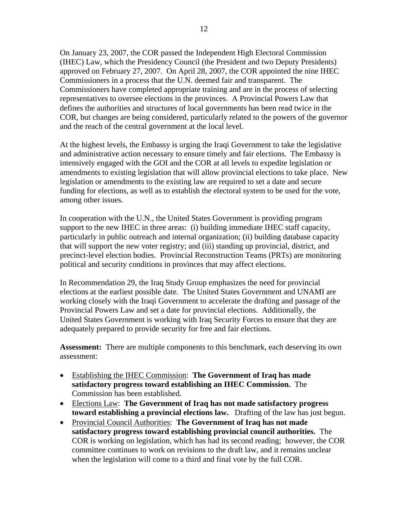On January 23, 2007, the COR passed the Independent High Electoral Commission (IHEC) Law, which the Presidency Council (the President and two Deputy Presidents) approved on February 27, 2007. On April 28, 2007, the COR appointed the nine IHEC Commissioners in a process that the U.N. deemed fair and transparent. The Commissioners have completed appropriate training and are in the process of selecting representatives to oversee elections in the provinces. A Provincial Powers Law that defines the authorities and structures of local governments has been read twice in the COR, but changes are being considered, particularly related to the powers of the governor and the reach of the central government at the local level.

At the highest levels, the Embassy is urging the Iraqi Government to take the legislative and administrative action necessary to ensure timely and fair elections. The Embassy is intensively engaged with the GOI and the COR at all levels to expedite legislation or amendments to existing legislation that will allow provincial elections to take place. New legislation or amendments to the existing law are required to set a date and secure funding for elections, as well as to establish the electoral system to be used for the vote, among other issues.

In cooperation with the U.N., the United States Government is providing program support to the new IHEC in three areas: (i) building immediate IHEC staff capacity, particularly in public outreach and internal organization; (ii) building database capacity that will support the new voter registry; and (iii) standing up provincial, district, and precinct-level election bodies. Provincial Reconstruction Teams (PRTs) are monitoring political and security conditions in provinces that may affect elections.

In Recommendation 29, the Iraq Study Group emphasizes the need for provincial elections at the earliest possible date. The United States Government and UNAMI are working closely with the Iraqi Government to accelerate the drafting and passage of the Provincial Powers Law and set a date for provincial elections. Additionally, the United States Government is working with Iraq Security Forces to ensure that they are adequately prepared to provide security for free and fair elections.

**Assessment:** There are multiple components to this benchmark, each deserving its own assessment:

- Establishing the IHEC Commission: **The Government of Iraq has made satisfactory progress toward establishing an IHEC Commission.** The Commission has been established.
- Elections Law: **The Government of Iraq has not made satisfactory progress toward establishing a provincial elections law.** Drafting of the law has just begun.
- Provincial Council Authorities: **The Government of Iraq has not made satisfactory progress toward establishing provincial council authorities.** The COR is working on legislation, which has had its second reading; however, the COR committee continues to work on revisions to the draft law, and it remains unclear when the legislation will come to a third and final vote by the full COR.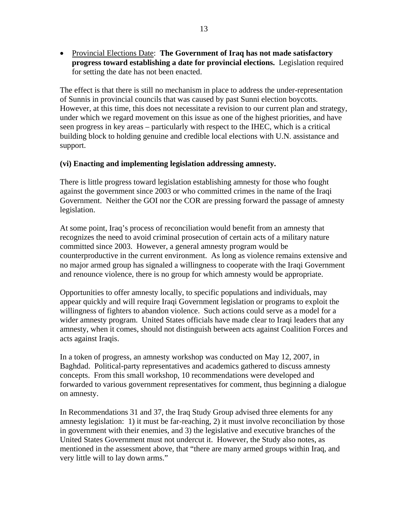• Provincial Elections Date: **The Government of Iraq has not made satisfactory progress toward establishing a date for provincial elections.** Legislation required for setting the date has not been enacted.

The effect is that there is still no mechanism in place to address the under-representation of Sunnis in provincial councils that was caused by past Sunni election boycotts. However, at this time, this does not necessitate a revision to our current plan and strategy, under which we regard movement on this issue as one of the highest priorities, and have seen progress in key areas – particularly with respect to the IHEC, which is a critical building block to holding genuine and credible local elections with U.N. assistance and support.

# **(vi) Enacting and implementing legislation addressing amnesty.**

There is little progress toward legislation establishing amnesty for those who fought against the government since 2003 or who committed crimes in the name of the Iraqi Government. Neither the GOI nor the COR are pressing forward the passage of amnesty legislation.

At some point, Iraq's process of reconciliation would benefit from an amnesty that recognizes the need to avoid criminal prosecution of certain acts of a military nature committed since 2003. However, a general amnesty program would be counterproductive in the current environment. As long as violence remains extensive and no major armed group has signaled a willingness to cooperate with the Iraqi Government and renounce violence, there is no group for which amnesty would be appropriate.

Opportunities to offer amnesty locally, to specific populations and individuals, may appear quickly and will require Iraqi Government legislation or programs to exploit the willingness of fighters to abandon violence. Such actions could serve as a model for a wider amnesty program. United States officials have made clear to Iraqi leaders that any amnesty, when it comes, should not distinguish between acts against Coalition Forces and acts against Iraqis.

In a token of progress, an amnesty workshop was conducted on May 12, 2007, in Baghdad. Political-party representatives and academics gathered to discuss amnesty concepts. From this small workshop, 10 recommendations were developed and forwarded to various government representatives for comment, thus beginning a dialogue on amnesty.

In Recommendations 31 and 37, the Iraq Study Group advised three elements for any amnesty legislation: 1) it must be far-reaching, 2) it must involve reconciliation by those in government with their enemies, and 3) the legislative and executive branches of the United States Government must not undercut it. However, the Study also notes, as mentioned in the assessment above, that "there are many armed groups within Iraq, and very little will to lay down arms."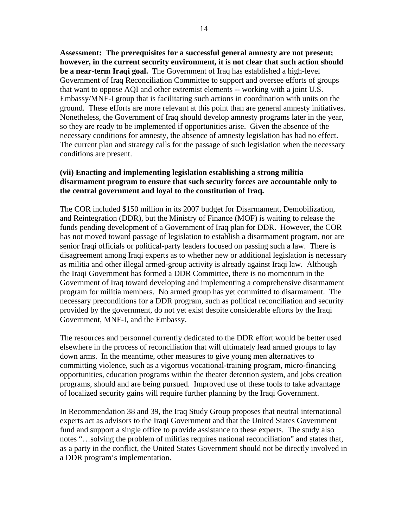**Assessment: The prerequisites for a successful general amnesty are not present; however, in the current security environment, it is not clear that such action should be a near-term Iraqi goal.** The Government of Iraq has established a high-level Government of Iraq Reconciliation Committee to support and oversee efforts of groups that want to oppose AQI and other extremist elements -- working with a joint U.S. Embassy/MNF-I group that is facilitating such actions in coordination with units on the ground. These efforts are more relevant at this point than are general amnesty initiatives. Nonetheless, the Government of Iraq should develop amnesty programs later in the year, so they are ready to be implemented if opportunities arise. Given the absence of the necessary conditions for amnesty, the absence of amnesty legislation has had no effect. The current plan and strategy calls for the passage of such legislation when the necessary conditions are present.

### **(vii) Enacting and implementing legislation establishing a strong militia disarmament program to ensure that such security forces are accountable only to the central government and loyal to the constitution of Iraq.**

The COR included \$150 million in its 2007 budget for Disarmament, Demobilization, and Reintegration (DDR), but the Ministry of Finance (MOF) is waiting to release the funds pending development of a Government of Iraq plan for DDR. However, the COR has not moved toward passage of legislation to establish a disarmament program, nor are senior Iraqi officials or political-party leaders focused on passing such a law. There is disagreement among Iraqi experts as to whether new or additional legislation is necessary as militia and other illegal armed-group activity is already against Iraqi law. Although the Iraqi Government has formed a DDR Committee, there is no momentum in the Government of Iraq toward developing and implementing a comprehensive disarmament program for militia members. No armed group has yet committed to disarmament. The necessary preconditions for a DDR program, such as political reconciliation and security provided by the government, do not yet exist despite considerable efforts by the Iraqi Government, MNF-I, and the Embassy.

The resources and personnel currently dedicated to the DDR effort would be better used elsewhere in the process of reconciliation that will ultimately lead armed groups to lay down arms. In the meantime, other measures to give young men alternatives to committing violence, such as a vigorous vocational-training program, micro-financing opportunities, education programs within the theater detention system, and jobs creation programs, should and are being pursued. Improved use of these tools to take advantage of localized security gains will require further planning by the Iraqi Government.

In Recommendation 38 and 39, the Iraq Study Group proposes that neutral international experts act as advisors to the Iraqi Government and that the United States Government fund and support a single office to provide assistance to these experts. The study also notes "…solving the problem of militias requires national reconciliation" and states that, as a party in the conflict, the United States Government should not be directly involved in a DDR program's implementation.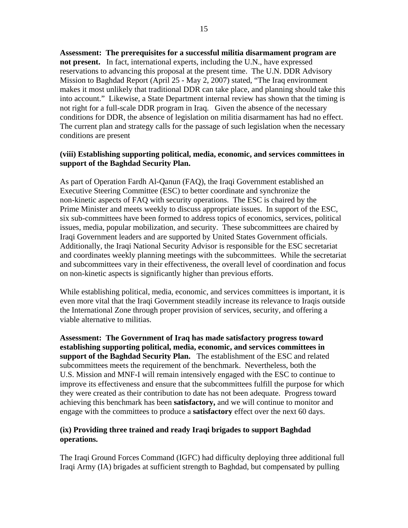**Assessment: The prerequisites for a successful militia disarmament program are not present.** In fact, international experts, including the U.N., have expressed reservations to advancing this proposal at the present time. The U.N. DDR Advisory Mission to Baghdad Report (April 25 - May 2, 2007) stated, "The Iraq environment makes it most unlikely that traditional DDR can take place, and planning should take this into account." Likewise, a State Department internal review has shown that the timing is not right for a full-scale DDR program in Iraq. Given the absence of the necessary conditions for DDR, the absence of legislation on militia disarmament has had no effect. The current plan and strategy calls for the passage of such legislation when the necessary conditions are present

### **(viii) Establishing supporting political, media, economic, and services committees in support of the Baghdad Security Plan.**

As part of Operation Fardh Al-Qanun (FAQ), the Iraqi Government established an Executive Steering Committee (ESC) to better coordinate and synchronize the non-kinetic aspects of FAQ with security operations. The ESC is chaired by the Prime Minister and meets weekly to discuss appropriate issues. In support of the ESC, six sub-committees have been formed to address topics of economics, services, political issues, media, popular mobilization, and security. These subcommittees are chaired by Iraqi Government leaders and are supported by United States Government officials. Additionally, the Iraqi National Security Advisor is responsible for the ESC secretariat and coordinates weekly planning meetings with the subcommittees. While the secretariat and subcommittees vary in their effectiveness, the overall level of coordination and focus on non-kinetic aspects is significantly higher than previous efforts.

While establishing political, media, economic, and services committees is important, it is even more vital that the Iraqi Government steadily increase its relevance to Iraqis outside the International Zone through proper provision of services, security, and offering a viable alternative to militias.

**Assessment: The Government of Iraq has made satisfactory progress toward establishing supporting political, media, economic, and services committees in support of the Baghdad Security Plan.** The establishment of the ESC and related subcommittees meets the requirement of the benchmark. Nevertheless, both the U.S. Mission and MNF-I will remain intensively engaged with the ESC to continue to improve its effectiveness and ensure that the subcommittees fulfill the purpose for which they were created as their contribution to date has not been adequate. Progress toward achieving this benchmark has been **satisfactory,** and we will continue to monitor and engage with the committees to produce a **satisfactory** effect over the next 60 days.

# **(ix) Providing three trained and ready Iraqi brigades to support Baghdad operations.**

The Iraqi Ground Forces Command (IGFC) had difficulty deploying three additional full Iraqi Army (IA) brigades at sufficient strength to Baghdad, but compensated by pulling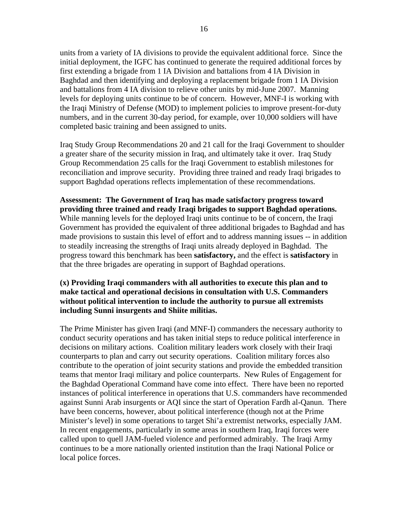units from a variety of IA divisions to provide the equivalent additional force. Since the initial deployment, the IGFC has continued to generate the required additional forces by first extending a brigade from 1 IA Division and battalions from 4 IA Division in Baghdad and then identifying and deploying a replacement brigade from 1 IA Division and battalions from 4 IA division to relieve other units by mid-June 2007. Manning levels for deploying units continue to be of concern. However, MNF-I is working with the Iraqi Ministry of Defense (MOD) to implement policies to improve present-for-duty numbers, and in the current 30-day period, for example, over 10,000 soldiers will have completed basic training and been assigned to units.

Iraq Study Group Recommendations 20 and 21 call for the Iraqi Government to shoulder a greater share of the security mission in Iraq, and ultimately take it over. Iraq Study Group Recommendation 25 calls for the Iraqi Government to establish milestones for reconciliation and improve security. Providing three trained and ready Iraqi brigades to support Baghdad operations reflects implementation of these recommendations.

**Assessment: The Government of Iraq has made satisfactory progress toward providing three trained and ready Iraqi brigades to support Baghdad operations.** While manning levels for the deployed Iraqi units continue to be of concern, the Iraqi Government has provided the equivalent of three additional brigades to Baghdad and has made provisions to sustain this level of effort and to address manning issues -- in addition to steadily increasing the strengths of Iraqi units already deployed in Baghdad. The progress toward this benchmark has been **satisfactory,** and the effect is **satisfactory** in that the three brigades are operating in support of Baghdad operations.

# **(x) Providing Iraqi commanders with all authorities to execute this plan and to make tactical and operational decisions in consultation with U.S. Commanders without political intervention to include the authority to pursue all extremists including Sunni insurgents and Shiite militias.**

The Prime Minister has given Iraqi (and MNF-I) commanders the necessary authority to conduct security operations and has taken initial steps to reduce political interference in decisions on military actions. Coalition military leaders work closely with their Iraqi counterparts to plan and carry out security operations. Coalition military forces also contribute to the operation of joint security stations and provide the embedded transition teams that mentor Iraqi military and police counterparts. New Rules of Engagement for the Baghdad Operational Command have come into effect. There have been no reported instances of political interference in operations that U.S. commanders have recommended against Sunni Arab insurgents or AQI since the start of Operation Fardh al-Qanun. There have been concerns, however, about political interference (though not at the Prime Minister's level) in some operations to target Shi'a extremist networks, especially JAM. In recent engagements, particularly in some areas in southern Iraq, Iraqi forces were called upon to quell JAM-fueled violence and performed admirably. The Iraqi Army continues to be a more nationally oriented institution than the Iraqi National Police or local police forces.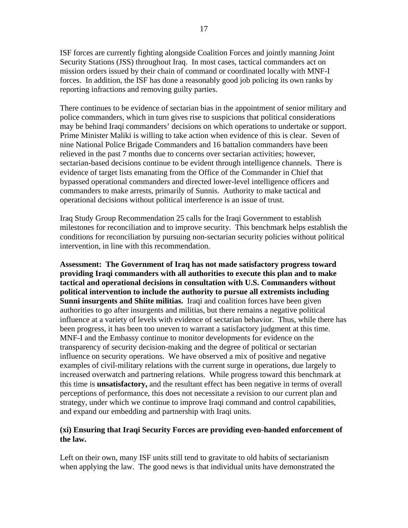ISF forces are currently fighting alongside Coalition Forces and jointly manning Joint Security Stations (JSS) throughout Iraq. In most cases, tactical commanders act on mission orders issued by their chain of command or coordinated locally with MNF-I forces. In addition, the ISF has done a reasonably good job policing its own ranks by reporting infractions and removing guilty parties.

There continues to be evidence of sectarian bias in the appointment of senior military and police commanders, which in turn gives rise to suspicions that political considerations may be behind Iraqi commanders' decisions on which operations to undertake or support. Prime Minister Maliki is willing to take action when evidence of this is clear. Seven of nine National Police Brigade Commanders and 16 battalion commanders have been relieved in the past 7 months due to concerns over sectarian activities; however, sectarian-based decisions continue to be evident through intelligence channels. There is evidence of target lists emanating from the Office of the Commander in Chief that bypassed operational commanders and directed lower-level intelligence officers and commanders to make arrests, primarily of Sunnis. Authority to make tactical and operational decisions without political interference is an issue of trust.

Iraq Study Group Recommendation 25 calls for the Iraqi Government to establish milestones for reconciliation and to improve security. This benchmark helps establish the conditions for reconciliation by pursuing non-sectarian security policies without political intervention, in line with this recommendation.

**Assessment: The Government of Iraq has not made satisfactory progress toward providing Iraqi commanders with all authorities to execute this plan and to make tactical and operational decisions in consultation with U.S. Commanders without political intervention to include the authority to pursue all extremists including Sunni insurgents and Shiite militias.** Iraqi and coalition forces have been given authorities to go after insurgents and militias, but there remains a negative political influence at a variety of levels with evidence of sectarian behavior. Thus, while there has been progress, it has been too uneven to warrant a satisfactory judgment at this time. MNF-I and the Embassy continue to monitor developments for evidence on the transparency of security decision-making and the degree of political or sectarian influence on security operations. We have observed a mix of positive and negative examples of civil-military relations with the current surge in operations, due largely to increased overwatch and partnering relations. While progress toward this benchmark at this time is **unsatisfactory,** and the resultant effect has been negative in terms of overall perceptions of performance, this does not necessitate a revision to our current plan and strategy, under which we continue to improve Iraqi command and control capabilities, and expand our embedding and partnership with Iraqi units.

# **(xi) Ensuring that Iraqi Security Forces are providing even-handed enforcement of the law.**

Left on their own, many ISF units still tend to gravitate to old habits of sectarianism when applying the law. The good news is that individual units have demonstrated the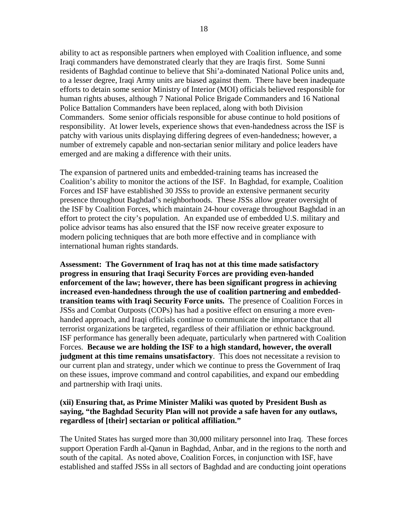ability to act as responsible partners when employed with Coalition influence, and some Iraqi commanders have demonstrated clearly that they are Iraqis first. Some Sunni residents of Baghdad continue to believe that Shi'a-dominated National Police units and, to a lesser degree, Iraqi Army units are biased against them. There have been inadequate efforts to detain some senior Ministry of Interior (MOI) officials believed responsible for human rights abuses, although 7 National Police Brigade Commanders and 16 National Police Battalion Commanders have been replaced, along with both Division Commanders. Some senior officials responsible for abuse continue to hold positions of responsibility. At lower levels, experience shows that even-handedness across the ISF is patchy with various units displaying differing degrees of even-handedness; however, a number of extremely capable and non-sectarian senior military and police leaders have emerged and are making a difference with their units.

The expansion of partnered units and embedded-training teams has increased the Coalition's ability to monitor the actions of the ISF. In Baghdad, for example, Coalition Forces and ISF have established 30 JSSs to provide an extensive permanent security presence throughout Baghdad's neighborhoods. These JSSs allow greater oversight of the ISF by Coalition Forces, which maintain 24-hour coverage throughout Baghdad in an effort to protect the city's population. An expanded use of embedded U.S. military and police advisor teams has also ensured that the ISF now receive greater exposure to modern policing techniques that are both more effective and in compliance with international human rights standards.

**Assessment: The Government of Iraq has not at this time made satisfactory progress in ensuring that Iraqi Security Forces are providing even-handed enforcement of the law; however, there has been significant progress in achieving increased even-handedness through the use of coalition partnering and embeddedtransition teams with Iraqi Security Force units.** The presence of Coalition Forces in JSSs and Combat Outposts (COPs) has had a positive effect on ensuring a more evenhanded approach, and Iraqi officials continue to communicate the importance that all terrorist organizations be targeted, regardless of their affiliation or ethnic background. ISF performance has generally been adequate, particularly when partnered with Coalition Forces. **Because we are holding the ISF to a high standard, however, the overall judgment at this time remains unsatisfactory**. This does not necessitate a revision to our current plan and strategy, under which we continue to press the Government of Iraq on these issues, improve command and control capabilities, and expand our embedding and partnership with Iraqi units.

# **(xii) Ensuring that, as Prime Minister Maliki was quoted by President Bush as saying, "the Baghdad Security Plan will not provide a safe haven for any outlaws, regardless of [their] sectarian or political affiliation."**

The United States has surged more than 30,000 military personnel into Iraq. These forces support Operation Fardh al-Qanun in Baghdad, Anbar, and in the regions to the north and south of the capital. As noted above, Coalition Forces, in conjunction with ISF, have established and staffed JSSs in all sectors of Baghdad and are conducting joint operations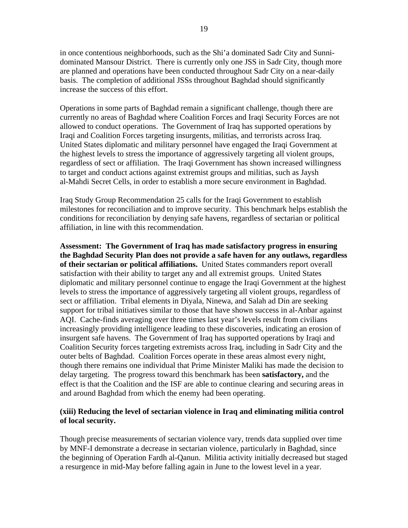in once contentious neighborhoods, such as the Shi'a dominated Sadr City and Sunnidominated Mansour District. There is currently only one JSS in Sadr City, though more are planned and operations have been conducted throughout Sadr City on a near-daily basis. The completion of additional JSSs throughout Baghdad should significantly increase the success of this effort.

Operations in some parts of Baghdad remain a significant challenge, though there are currently no areas of Baghdad where Coalition Forces and Iraqi Security Forces are not allowed to conduct operations. The Government of Iraq has supported operations by Iraqi and Coalition Forces targeting insurgents, militias, and terrorists across Iraq. United States diplomatic and military personnel have engaged the Iraqi Government at the highest levels to stress the importance of aggressively targeting all violent groups, regardless of sect or affiliation. The Iraqi Government has shown increased willingness to target and conduct actions against extremist groups and militias, such as Jaysh al-Mahdi Secret Cells, in order to establish a more secure environment in Baghdad.

Iraq Study Group Recommendation 25 calls for the Iraqi Government to establish milestones for reconciliation and to improve security. This benchmark helps establish the conditions for reconciliation by denying safe havens, regardless of sectarian or political affiliation, in line with this recommendation.

**Assessment: The Government of Iraq has made satisfactory progress in ensuring the Baghdad Security Plan does not provide a safe haven for any outlaws, regardless of their sectarian or political affiliations.** United States commanders report overall satisfaction with their ability to target any and all extremist groups. United States diplomatic and military personnel continue to engage the Iraqi Government at the highest levels to stress the importance of aggressively targeting all violent groups, regardless of sect or affiliation. Tribal elements in Diyala, Ninewa, and Salah ad Din are seeking support for tribal initiatives similar to those that have shown success in al-Anbar against AQI. Cache-finds averaging over three times last year's levels result from civilians increasingly providing intelligence leading to these discoveries, indicating an erosion of insurgent safe havens. The Government of Iraq has supported operations by Iraqi and Coalition Security forces targeting extremists across Iraq, including in Sadr City and the outer belts of Baghdad. Coalition Forces operate in these areas almost every night, though there remains one individual that Prime Minister Maliki has made the decision to delay targeting. The progress toward this benchmark has been **satisfactory,** and the effect is that the Coalition and the ISF are able to continue clearing and securing areas in and around Baghdad from which the enemy had been operating.

# **(xiii) Reducing the level of sectarian violence in Iraq and eliminating militia control of local security.**

Though precise measurements of sectarian violence vary, trends data supplied over time by MNF-I demonstrate a decrease in sectarian violence, particularly in Baghdad, since the beginning of Operation Fardh al-Qanun. Militia activity initially decreased but staged a resurgence in mid-May before falling again in June to the lowest level in a year.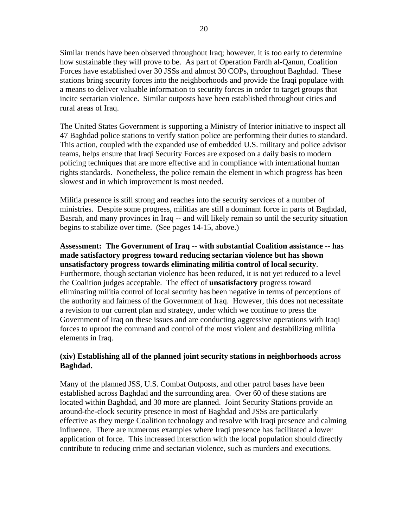Similar trends have been observed throughout Iraq; however, it is too early to determine how sustainable they will prove to be. As part of Operation Fardh al-Qanun, Coalition Forces have established over 30 JSSs and almost 30 COPs, throughout Baghdad. These stations bring security forces into the neighborhoods and provide the Iraqi populace with a means to deliver valuable information to security forces in order to target groups that incite sectarian violence. Similar outposts have been established throughout cities and rural areas of Iraq.

The United States Government is supporting a Ministry of Interior initiative to inspect all 47 Baghdad police stations to verify station police are performing their duties to standard. This action, coupled with the expanded use of embedded U.S. military and police advisor teams, helps ensure that Iraqi Security Forces are exposed on a daily basis to modern policing techniques that are more effective and in compliance with international human rights standards. Nonetheless, the police remain the element in which progress has been slowest and in which improvement is most needed.

Militia presence is still strong and reaches into the security services of a number of ministries. Despite some progress, militias are still a dominant force in parts of Baghdad, Basrah, and many provinces in Iraq -- and will likely remain so until the security situation begins to stabilize over time. (See pages 14-15, above.)

**Assessment: The Government of Iraq -- with substantial Coalition assistance -- has made satisfactory progress toward reducing sectarian violence but has shown unsatisfactory progress towards eliminating militia control of local security**. Furthermore, though sectarian violence has been reduced, it is not yet reduced to a level the Coalition judges acceptable. The effect of **unsatisfactory** progress toward eliminating militia control of local security has been negative in terms of perceptions of the authority and fairness of the Government of Iraq. However, this does not necessitate a revision to our current plan and strategy, under which we continue to press the Government of Iraq on these issues and are conducting aggressive operations with Iraqi forces to uproot the command and control of the most violent and destabilizing militia elements in Iraq.

# **(xiv) Establishing all of the planned joint security stations in neighborhoods across Baghdad.**

Many of the planned JSS, U.S. Combat Outposts, and other patrol bases have been established across Baghdad and the surrounding area. Over 60 of these stations are located within Baghdad, and 30 more are planned. Joint Security Stations provide an around-the-clock security presence in most of Baghdad and JSSs are particularly effective as they merge Coalition technology and resolve with Iraqi presence and calming influence. There are numerous examples where Iraqi presence has facilitated a lower application of force. This increased interaction with the local population should directly contribute to reducing crime and sectarian violence, such as murders and executions.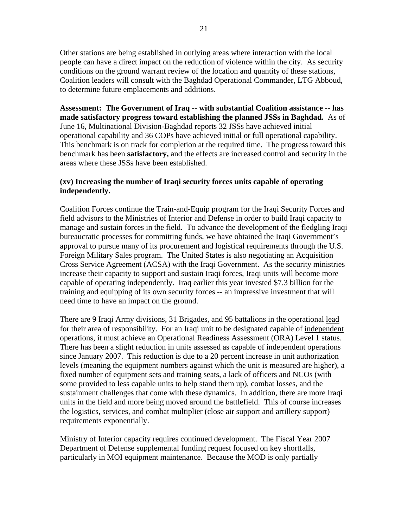Other stations are being established in outlying areas where interaction with the local people can have a direct impact on the reduction of violence within the city. As security conditions on the ground warrant review of the location and quantity of these stations, Coalition leaders will consult with the Baghdad Operational Commander, LTG Abboud, to determine future emplacements and additions.

**Assessment: The Government of Iraq -- with substantial Coalition assistance -- has made satisfactory progress toward establishing the planned JSSs in Baghdad.** As of June 16, Multinational Division-Baghdad reports 32 JSSs have achieved initial operational capability and 36 COPs have achieved initial or full operational capability. This benchmark is on track for completion at the required time. The progress toward this benchmark has been **satisfactory,** and the effects are increased control and security in the areas where these JSSs have been established.

# **(xv) Increasing the number of Iraqi security forces units capable of operating independently.**

Coalition Forces continue the Train-and-Equip program for the Iraqi Security Forces and field advisors to the Ministries of Interior and Defense in order to build Iraqi capacity to manage and sustain forces in the field. To advance the development of the fledgling Iraqi bureaucratic processes for committing funds, we have obtained the Iraqi Government's approval to pursue many of its procurement and logistical requirements through the U.S. Foreign Military Sales program. The United States is also negotiating an Acquisition Cross Service Agreement (ACSA) with the Iraqi Government. As the security ministries increase their capacity to support and sustain Iraqi forces, Iraqi units will become more capable of operating independently. Iraq earlier this year invested \$7.3 billion for the training and equipping of its own security forces -- an impressive investment that will need time to have an impact on the ground.

There are 9 Iraqi Army divisions, 31 Brigades, and 95 battalions in the operational lead for their area of responsibility. For an Iraqi unit to be designated capable of independent operations, it must achieve an Operational Readiness Assessment (ORA) Level 1 status. There has been a slight reduction in units assessed as capable of independent operations since January 2007. This reduction is due to a 20 percent increase in unit authorization levels (meaning the equipment numbers against which the unit is measured are higher), a fixed number of equipment sets and training seats, a lack of officers and NCOs (with some provided to less capable units to help stand them up), combat losses, and the sustainment challenges that come with these dynamics. In addition, there are more Iraqi units in the field and more being moved around the battlefield. This of course increases the logistics, services, and combat multiplier (close air support and artillery support) requirements exponentially.

Ministry of Interior capacity requires continued development. The Fiscal Year 2007 Department of Defense supplemental funding request focused on key shortfalls, particularly in MOI equipment maintenance. Because the MOD is only partially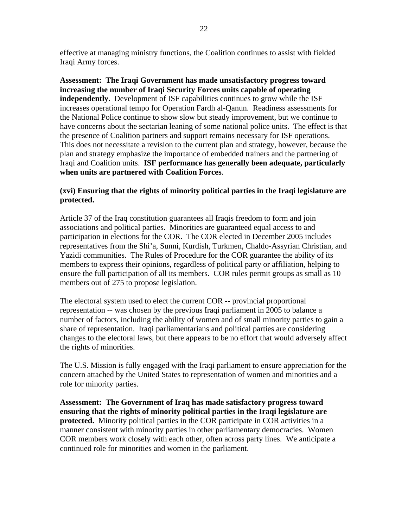effective at managing ministry functions, the Coalition continues to assist with fielded Iraqi Army forces.

**Assessment: The Iraqi Government has made unsatisfactory progress toward increasing the number of Iraqi Security Forces units capable of operating independently.** Development of ISF capabilities continues to grow while the ISF increases operational tempo for Operation Fardh al-Qanun. Readiness assessments for the National Police continue to show slow but steady improvement, but we continue to have concerns about the sectarian leaning of some national police units. The effect is that the presence of Coalition partners and support remains necessary for ISF operations. This does not necessitate a revision to the current plan and strategy, however, because the plan and strategy emphasize the importance of embedded trainers and the partnering of Iraqi and Coalition units. **ISF performance has generally been adequate, particularly when units are partnered with Coalition Forces**.

# **(xvi) Ensuring that the rights of minority political parties in the Iraqi legislature are protected.**

Article 37 of the Iraq constitution guarantees all Iraqis freedom to form and join associations and political parties. Minorities are guaranteed equal access to and participation in elections for the COR. The COR elected in December 2005 includes representatives from the Shi'a, Sunni, Kurdish, Turkmen, Chaldo-Assyrian Christian, and Yazidi communities. The Rules of Procedure for the COR guarantee the ability of its members to express their opinions, regardless of political party or affiliation, helping to ensure the full participation of all its members. COR rules permit groups as small as 10 members out of 275 to propose legislation.

The electoral system used to elect the current COR -- provincial proportional representation -- was chosen by the previous Iraqi parliament in 2005 to balance a number of factors, including the ability of women and of small minority parties to gain a share of representation. Iraqi parliamentarians and political parties are considering changes to the electoral laws, but there appears to be no effort that would adversely affect the rights of minorities.

The U.S. Mission is fully engaged with the Iraqi parliament to ensure appreciation for the concern attached by the United States to representation of women and minorities and a role for minority parties.

**Assessment: The Government of Iraq has made satisfactory progress toward ensuring that the rights of minority political parties in the Iraqi legislature are protected.** Minority political parties in the COR participate in COR activities in a manner consistent with minority parties in other parliamentary democracies. Women COR members work closely with each other, often across party lines. We anticipate a continued role for minorities and women in the parliament.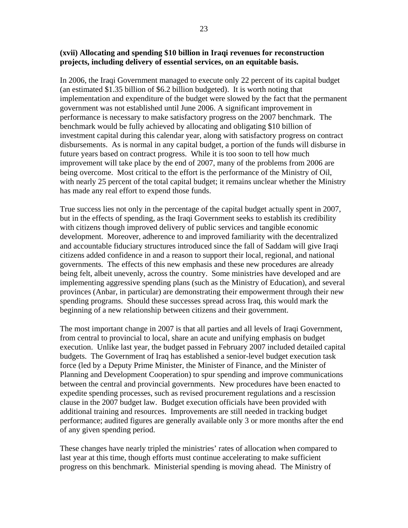### **(xvii) Allocating and spending \$10 billion in Iraqi revenues for reconstruction projects, including delivery of essential services, on an equitable basis.**

In 2006, the Iraqi Government managed to execute only 22 percent of its capital budget (an estimated \$1.35 billion of \$6.2 billion budgeted). It is worth noting that implementation and expenditure of the budget were slowed by the fact that the permanent government was not established until June 2006. A significant improvement in performance is necessary to make satisfactory progress on the 2007 benchmark. The benchmark would be fully achieved by allocating and obligating \$10 billion of investment capital during this calendar year, along with satisfactory progress on contract disbursements. As is normal in any capital budget, a portion of the funds will disburse in future years based on contract progress. While it is too soon to tell how much improvement will take place by the end of 2007, many of the problems from 2006 are being overcome. Most critical to the effort is the performance of the Ministry of Oil, with nearly 25 percent of the total capital budget; it remains unclear whether the Ministry has made any real effort to expend those funds.

True success lies not only in the percentage of the capital budget actually spent in 2007, but in the effects of spending, as the Iraqi Government seeks to establish its credibility with citizens though improved delivery of public services and tangible economic development. Moreover, adherence to and improved familiarity with the decentralized and accountable fiduciary structures introduced since the fall of Saddam will give Iraqi citizens added confidence in and a reason to support their local, regional, and national governments. The effects of this new emphasis and these new procedures are already being felt, albeit unevenly, across the country. Some ministries have developed and are implementing aggressive spending plans (such as the Ministry of Education), and several provinces (Anbar, in particular) are demonstrating their empowerment through their new spending programs. Should these successes spread across Iraq, this would mark the beginning of a new relationship between citizens and their government.

The most important change in 2007 is that all parties and all levels of Iraqi Government, from central to provincial to local, share an acute and unifying emphasis on budget execution. Unlike last year, the budget passed in February 2007 included detailed capital budgets. The Government of Iraq has established a senior-level budget execution task force (led by a Deputy Prime Minister, the Minister of Finance, and the Minister of Planning and Development Cooperation) to spur spending and improve communications between the central and provincial governments. New procedures have been enacted to expedite spending processes, such as revised procurement regulations and a rescission clause in the 2007 budget law. Budget execution officials have been provided with additional training and resources. Improvements are still needed in tracking budget performance; audited figures are generally available only 3 or more months after the end of any given spending period.

These changes have nearly tripled the ministries' rates of allocation when compared to last year at this time, though efforts must continue accelerating to make sufficient progress on this benchmark. Ministerial spending is moving ahead. The Ministry of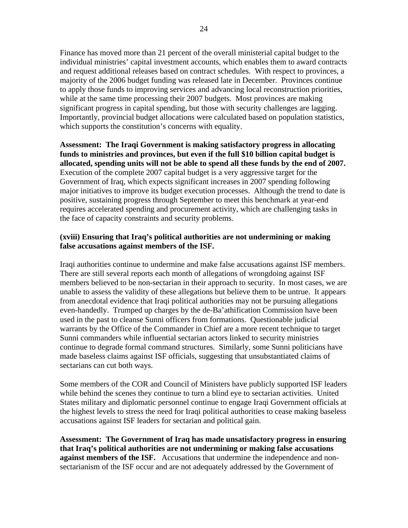Finance has moved more than 21 percent of the overall ministerial capital budget to the individual ministries' capital investment accounts, which enables them to award contracts and request additional releases based on contract schedules. With respect to provinces, a majority of the 2006 budget funding was released late in December. Provinces continue to apply those funds to improving services and advancing local reconstruction priorities, while at the same time processing their 2007 budgets. Most provinces are making significant progress in capital spending, but those with security challenges are lagging. Importantly, provincial budget allocations were calculated based on population statistics, which supports the constitution's concerns with equality.

**Assessment: The Iraqi Government is making satisfactory progress in allocating funds to ministries and provinces, but even if the full \$10 billion capital budget is allocated, spending units will not be able to spend all these funds by the end of 2007.** Execution of the complete 2007 capital budget is a very aggressive target for the Government of Iraq, which expects significant increases in 2007 spending following major initiatives to improve its budget execution processes. Although the trend to date is positive, sustaining progress through September to meet this benchmark at year-end requires accelerated spending and procurement activity, which are challenging tasks in the face of capacity constraints and security problems.

### **(xviii) Ensuring that Iraq's political authorities are not undermining or making false accusations against members of the ISF.**

Iraqi authorities continue to undermine and make false accusations against ISF members. There are still several reports each month of allegations of wrongdoing against ISF members believed to be non-sectarian in their approach to security. In most cases, we are unable to assess the validity of these allegations but believe them to be untrue. It appears from anecdotal evidence that Iraqi political authorities may not be pursuing allegations even-handedly. Trumped up charges by the de-Ba'athification Commission have been used in the past to cleanse Sunni officers from formations. Questionable judicial warrants by the Office of the Commander in Chief are a more recent technique to target Sunni commanders while influential sectarian actors linked to security ministries continue to degrade formal command structures. Similarly, some Sunni politicians have made baseless claims against ISF officials, suggesting that unsubstantiated claims of sectarians can cut both ways.

Some members of the COR and Council of Ministers have publicly supported ISF leaders while behind the scenes they continue to turn a blind eye to sectarian activities. United States military and diplomatic personnel continue to engage Iraqi Government officials at the highest levels to stress the need for Iraqi political authorities to cease making baseless accusations against ISF leaders for sectarian and political gain.

**Assessment: The Government of Iraq has made unsatisfactory progress in ensuring that Iraq's political authorities are not undermining or making false accusations against members of the ISF.** Accusations that undermine the independence and nonsectarianism of the ISF occur and are not adequately addressed by the Government of